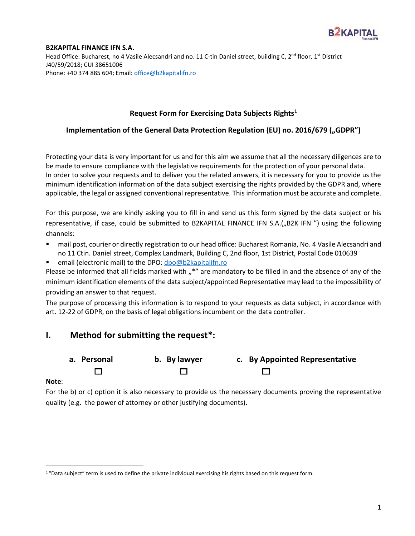

Head Office: Bucharest, no 4 Vasile Alecsandri and no. 11 C-tin Daniel street, building C, 2<sup>nd</sup> floor, 1<sup>st</sup> District J40/59/2018; CUI 38651006 Phone: +40 374 885 604; Email: [office@b2kapitalifn.ro](mailto:office@b2kapitalifn.ro)

### **Request Form for Exercising Data Subjects Rights<sup>1</sup>**

## **Implementation of the General Data Protection Regulation (EU) no. 2016/679 ("GDPR")**

Protecting your data is very important for us and for this aim we assume that all the necessary diligences are to be made to ensure compliance with the legislative requirements for the protection of your personal data. In order to solve your requests and to deliver you the related answers, it is necessary for you to provide us the minimum identification information of the data subject exercising the rights provided by the GDPR and, where applicable, the legal or assigned conventional representative. This information must be accurate and complete.

For this purpose, we are kindly asking you to fill in and send us this form signed by the data subject or his representative, if case, could be submitted to B2KAPITAL FINANCE IFN S.A.("B2K IFN ") using the following channels:

- mail post, courier or directly registration to our head office: Bucharest Romania, No. 4 Vasile Alecsandri and no 11 Ctin. Daniel street, Complex Landmark, Building C, 2nd floor, 1st District, Postal Code 010639
- email (electronic mail) to the DPO: [dpo@b2kapitalifn.ro](mailto:dpo@b2kapitalifn.ro)

Please be informed that all fields marked with "\*" are mandatory to be filled in and the absence of any of the minimum identification elements of the data subject/appointed Representative may lead to the impossibility of providing an answer to that request.

The purpose of processing this information is to respond to your requests as data subject, in accordance with art. 12-22 of GDPR, on the basis of legal obligations incumbent on the data controller.

# **I. Method for submitting the request\*:**





### **Note**:

For the b) or c) option it is also necessary to provide us the necessary documents proving the representative quality (e.g. the power of attorney or other justifying documents).

<sup>&</sup>lt;sup>1</sup> "Data subject" term is used to define the private individual exercising his rights based on this request form.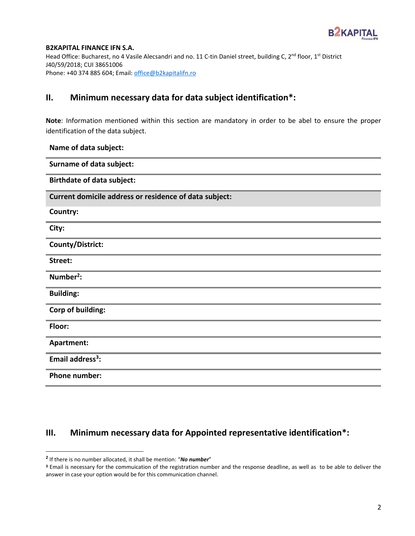

Head Office: Bucharest, no 4 Vasile Alecsandri and no. 11 C-tin Daniel street, building C, 2<sup>nd</sup> floor, 1<sup>st</sup> District J40/59/2018; CUI 38651006 Phone: +40 374 885 604; Email: [office@b2kapitalifn.ro](mailto:office@b2kapitalifn.ro)

# **II. Minimum necessary data for data subject identification\*:**

**Note**: Information mentioned within this section are mandatory in order to be abel to ensure the proper identification of the data subject.

### **Name of data subject:**

| <b>Surname of data subject:</b>                        |
|--------------------------------------------------------|
| <b>Birthdate of data subject:</b>                      |
| Current domicile address or residence of data subject: |
| Country:                                               |
| City:                                                  |
| <b>County/District:</b>                                |
| Street:                                                |
| Number <sup>2</sup> :                                  |
| <b>Building:</b>                                       |
| Corp of building:                                      |
| Floor:                                                 |
| Apartment:                                             |
| Email address <sup>3</sup> :                           |
| <b>Phone number:</b>                                   |

# **III. Minimum necessary data for Appointed representative identification\*:**

**<sup>2</sup>** If there is no number allocated, it shall be mention: "*No number*"

**<sup>3</sup>** Email is necessary for the commuication of the registration number and the response deadline, as well as to be able to deliver the answer in case your option would be for this communication channel.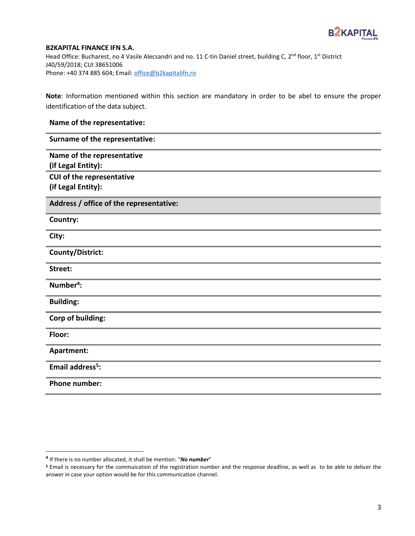

Head Office: Bucharest, no 4 Vasile Alecsandri and no. 11 C-tin Daniel street, building C, 2<sup>nd</sup> floor, 1<sup>st</sup> District J40/59/2018; CUI 38651006 Phone: +40 374 885 604; Email: [office@b2kapitalifn.ro](mailto:office@b2kapitalifn.ro)

**Note**: Information mentioned within this section are mandatory in order to be abel to ensure the proper identification of the data subject.

## **Name of the representative:**

**Surname of the representative:**

**Name of the representative (if Legal Entity):**

**CUI of the representative (if Legal Entity):**

**Address / office of the representative:**

**Country:**

**City:**

**County/District:**

**Street:**

**Number<sup>4</sup> :**

**Building:**

**Corp of building:**

**Floor:**

**Apartment:**

**Email address<sup>5</sup> :**

**Phone number:**

**<sup>4</sup>** If there is no number allocated, it shall be mention: "*No number*"

**<sup>5</sup>** Email is necessary for the commuication of the registration number and the response deadline, as well as to be able to deliver the answer in case your option would be for this communication channel.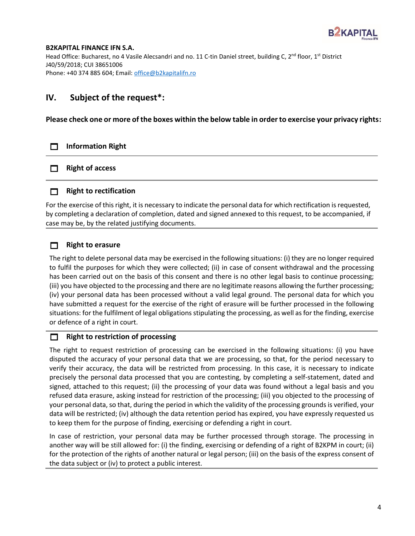

Head Office: Bucharest, no 4 Vasile Alecsandri and no. 11 C-tin Daniel street, building C, 2<sup>nd</sup> floor, 1<sup>st</sup> District J40/59/2018; CUI 38651006 Phone: +40 374 885 604; Email: [office@b2kapitalifn.ro](mailto:office@b2kapitalifn.ro)

# **IV. Subject of the request\*:**

**Please check one or more of the boxes within the below table in order to exercise your privacy rights:**

## **Information Right**

**Right of access** 

## **Right to rectification**

For the exercise of this right, it is necessary to indicate the personal data for which rectification is requested, by completing a declaration of completion, dated and signed annexed to this request, to be accompanied, if case may be, by the related justifying documents.

## **Right to erasure**

The right to delete personal data may be exercised in the following situations: (i) they are no longer required to fulfil the purposes for which they were collected; (ii) in case of consent withdrawal and the processing has been carried out on the basis of this consent and there is no other legal basis to continue processing; (iii) you have objected to the processing and there are no legitimate reasons allowing the further processing; (iv) your personal data has been processed without a valid legal ground. The personal data for which you have submitted a request for the exercise of the right of erasure will be further processed in the following situations: for the fulfilment of legal obligations stipulating the processing, as well as for the finding, exercise or defence of a right in court.

## **Right to restriction of processing**

The right to request restriction of processing can be exercised in the following situations: (i) you have disputed the accuracy of your personal data that we are processing, so that, for the period necessary to verify their accuracy, the data will be restricted from processing. In this case, it is necessary to indicate precisely the personal data processed that you are contesting, by completing a self-statement, dated and signed, attached to this request; (ii) the processing of your data was found without a legal basis and you refused data erasure, asking instead for restriction of the processing; (iii) you objected to the processing of your personal data, so that, during the period in which the validity of the processing grounds is verified, your data will be restricted; (iv) although the data retention period has expired, you have expressly requested us to keep them for the purpose of finding, exercising or defending a right in court.

In case of restriction, your personal data may be further processed through storage. The processing in another way will be still allowed for: (i) the finding, exercising or defending of a right of B2KPM in court; (ii) for the protection of the rights of another natural or legal person; (iii) on the basis of the express consent of the data subject or (iv) to protect a public interest.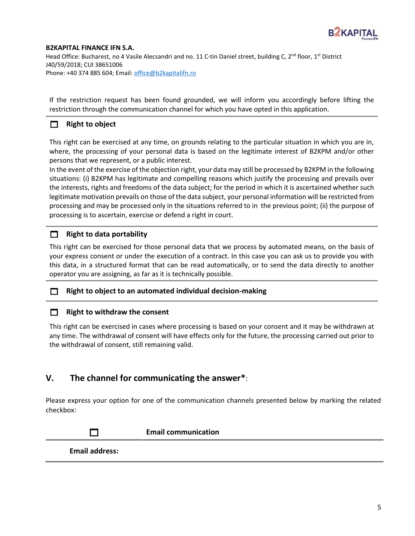

Head Office: Bucharest, no 4 Vasile Alecsandri and no. 11 C-tin Daniel street, building C, 2<sup>nd</sup> floor, 1<sup>st</sup> District J40/59/2018; CUI 38651006 Phone: +40 374 885 604; Email: [office@b2kapitalifn.ro](mailto:office@b2kapitalifn.ro)

If the restriction request has been found grounded, we will inform you accordingly before lifting the restriction through the communication channel for which you have opted in this application.

## **Right to object**

This right can be exercised at any time, on grounds relating to the particular situation in which you are in, where, the processing of your personal data is based on the legitimate interest of B2KPM and/or other persons that we represent, or a public interest.

In the event of the exercise of the objection right, your data may still be processed by B2KPM in the following situations: (i) B2KPM has legitimate and compelling reasons which justify the processing and prevails over the interests, rights and freedoms of the data subject; for the period in which it is ascertained whether such legitimate motivation prevails on those of the data subject, your personal information will be restricted from processing and may be processed only in the situations referred to in the previous point; (ii) the purpose of processing is to ascertain, exercise or defend a right in court.

## **Right to data portability**

This right can be exercised for those personal data that we process by automated means, on the basis of your express consent or under the execution of a contract. In this case you can ask us to provide you with this data, in a structured format that can be read automatically, or to send the data directly to another operator you are assigning, as far as it is technically possible.

### **Right to object to an automated individual decision-making**

### **Right to withdraw the consent**

This right can be exercised in cases where processing is based on your consent and it may be withdrawn at any time. The withdrawal of consent will have effects only for the future, the processing carried out prior to the withdrawal of consent, still remaining valid.

## **V. The channel for communicating the answer\***:

Please express your option for one of the communication channels presented below by marking the related checkbox:

|                       | <b>Email communication</b> |
|-----------------------|----------------------------|
| <b>Email address:</b> |                            |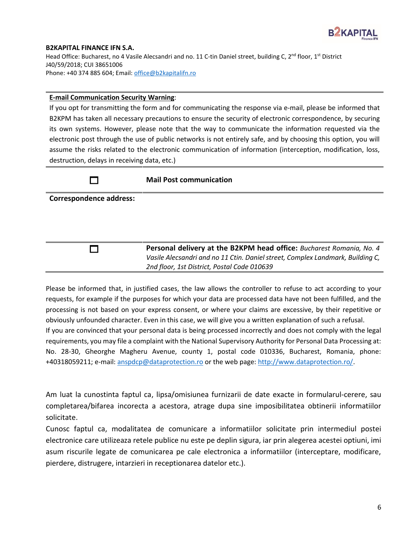

Head Office: Bucharest, no 4 Vasile Alecsandri and no. 11 C-tin Daniel street, building C, 2<sup>nd</sup> floor, 1<sup>st</sup> District J40/59/2018; CUI 38651006 Phone: +40 374 885 604; Email: [office@b2kapitalifn.ro](mailto:office@b2kapitalifn.ro)

#### **E-mail Communication Security Warning**:

If you opt for transmitting the form and for communicating the response via e-mail, please be informed that B2KPM has taken all necessary precautions to ensure the security of electronic correspondence, by securing its own systems. However, please note that the way to communicate the information requested via the electronic post through the use of public networks is not entirely safe, and by choosing this option, you will assume the risks related to the electronic communication of information (interception, modification, loss, destruction, delays in receiving data, etc.)

#### **Mail Post communication**

**Correspondence address:**

**Personal delivery at the B2KPM head office:** *Bucharest Romania, No. 4 Vasile Alecsandri and no 11 Ctin. Daniel street, Complex Landmark, Building C, 2nd floor, 1st District, Postal Code 010639*

Please be informed that, in justified cases, the law allows the controller to refuse to act according to your requests, for example if the purposes for which your data are processed data have not been fulfilled, and the processing is not based on your express consent, or where your claims are excessive, by their repetitive or obviously unfounded character. Even in this case, we will give you a written explanation of such a refusal. If you are convinced that your personal data is being processed incorrectly and does not comply with the legal requirements, you may file a complaint with the National Supervisory Authority for Personal Data Processing at: No. 28-30, Gheorghe Magheru Avenue, county 1, postal code 010336, Bucharest, Romania, phone: +40318059211; e-mail: [anspdcp@dataprotection.ro](mailto:anspdcp@dataprotection.ro) or the web page[: http://www.dataprotection.ro/.](http://www.dataprotection.ro/)

Am luat la cunostinta faptul ca, lipsa/omisiunea furnizarii de date exacte in formularul-cerere, sau completarea/bifarea incorecta a acestora, atrage dupa sine imposibilitatea obtinerii informatiilor solicitate.

Cunosc faptul ca, modalitatea de comunicare a informatiilor solicitate prin intermediul postei electronice care utilizeaza retele publice nu este pe deplin sigura, iar prin alegerea acestei optiuni, imi asum riscurile legate de comunicarea pe cale electronica a informatiilor (interceptare, modificare, pierdere, distrugere, intarzieri in receptionarea datelor etc.).